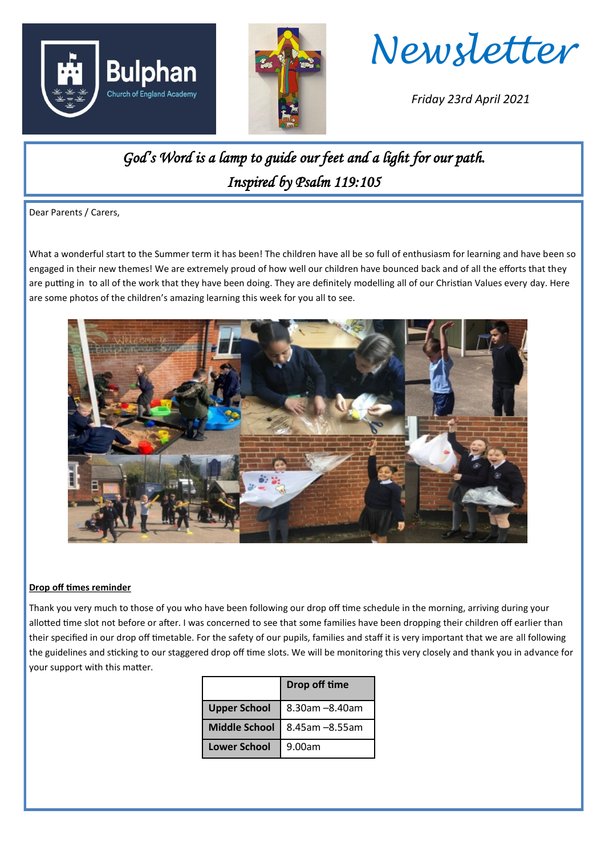





*Friday 23rd April 2021*

## *God's Word is a lamp to guide our feet and a light for our path. Inspired by Psalm 119:105*

Dear Parents / Carers,

What a wonderful start to the Summer term it has been! The children have all be so full of enthusiasm for learning and have been so engaged in their new themes! We are extremely proud of how well our children have bounced back and of all the efforts that they are putting in to all of the work that they have been doing. They are definitely modelling all of our Christian Values every day. Here are some photos of the children's amazing learning this week for you all to see.



## **Drop off times reminder**

Thank you very much to those of you who have been following our drop off time schedule in the morning, arriving during your allotted time slot not before or after. I was concerned to see that some families have been dropping their children off earlier than their specified in our drop off timetable. For the safety of our pupils, families and staff it is very important that we are all following the guidelines and sticking to our staggered drop off time slots. We will be monitoring this very closely and thank you in advance for your support with this matter.

|                      | Drop off time  |
|----------------------|----------------|
| <b>Upper School</b>  | 8.30am -8.40am |
| <b>Middle School</b> | 8.45am -8.55am |
| <b>Lower School</b>  | 9.00am         |